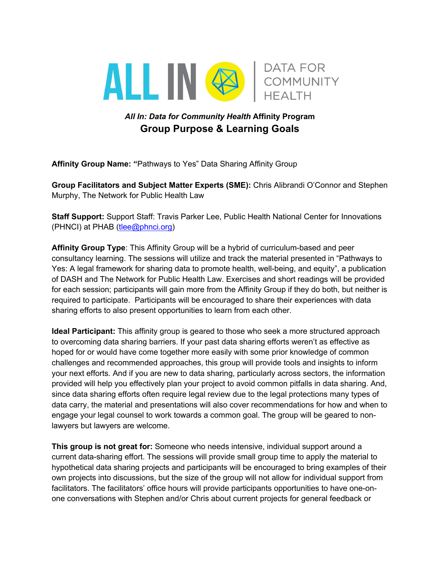

## *All In: Data for Community Health* **Affinity Program Group Purpose & Learning Goals**

**Affinity Group Name: "**Pathways to Yes" Data Sharing Affinity Group

**Group Facilitators and Subject Matter Experts (SME):** Chris Alibrandi O'Connor and Stephen Murphy, The Network for Public Health Law

**Staff Support:** Support Staff: Travis Parker Lee, Public Health National Center for Innovations (PHNCI) at PHAB (tlee@phnci.org)

**Affinity Group Type**: This Affinity Group will be a hybrid of curriculum-based and peer consultancy learning. The sessions will utilize and track the material presented in "Pathways to Yes: A legal framework for sharing data to promote health, well-being, and equity", a publication of DASH and The Network for Public Health Law. Exercises and short readings will be provided for each session; participants will gain more from the Affinity Group if they do both, but neither is required to participate. Participants will be encouraged to share their experiences with data sharing efforts to also present opportunities to learn from each other.

**Ideal Participant:** This affinity group is geared to those who seek a more structured approach to overcoming data sharing barriers. If your past data sharing efforts weren't as effective as hoped for or would have come together more easily with some prior knowledge of common challenges and recommended approaches, this group will provide tools and insights to inform your next efforts. And if you are new to data sharing, particularly across sectors, the information provided will help you effectively plan your project to avoid common pitfalls in data sharing. And, since data sharing efforts often require legal review due to the legal protections many types of data carry, the material and presentations will also cover recommendations for how and when to engage your legal counsel to work towards a common goal. The group will be geared to nonlawyers but lawyers are welcome.

**This group is not great for:** Someone who needs intensive, individual support around a current data-sharing effort. The sessions will provide small group time to apply the material to hypothetical data sharing projects and participants will be encouraged to bring examples of their own projects into discussions, but the size of the group will not allow for individual support from facilitators. The facilitators' office hours will provide participants opportunities to have one-onone conversations with Stephen and/or Chris about current projects for general feedback or